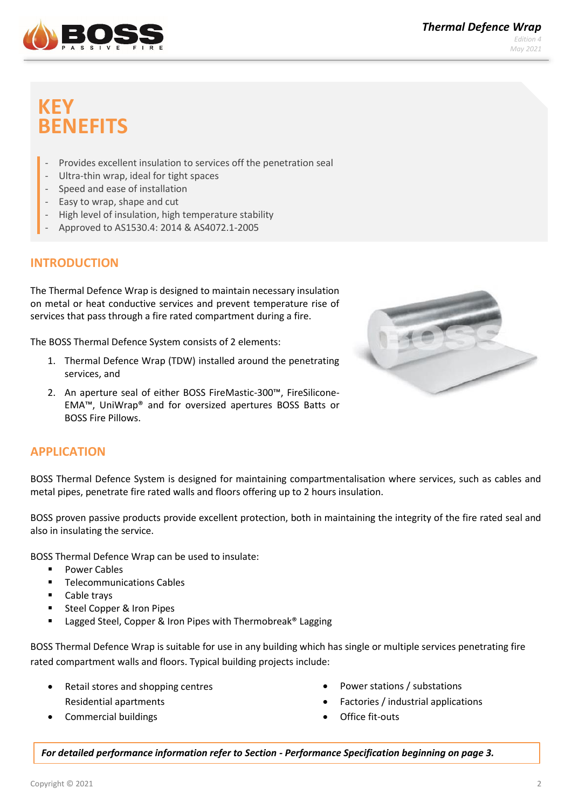

# **KEY BENEFITS**

- Provides excellent insulation to services off the penetration seal
- Ultra-thin wrap, ideal for tight spaces
- Speed and ease of installation
- Easy to wrap, shape and cut
- High level of insulation, high temperature stability
- Approved to AS1530.4: 2014 & AS4072.1-2005

# **INTRODUCTION**

The Thermal Defence Wrap is designed to maintain necessary insulation on metal or heat conductive services and prevent temperature rise of services that pass through a fire rated compartment during a fire.

The BOSS Thermal Defence System consists of 2 elements:

- 1. Thermal Defence Wrap (TDW) installed around the penetrating services, and
- 2. An aperture seal of either BOSS FireMastic-300™, FireSilicone-EMA™, UniWrap® and for oversized apertures BOSS Batts or BOSS Fire Pillows.



### **APPLICATION**

BOSS Thermal Defence System is designed for maintaining compartmentalisation where services, such as cables and metal pipes, penetrate fire rated walls and floors offering up to 2 hours insulation.

BOSS proven passive products provide excellent protection, both in maintaining the integrity of the fire rated seal and also in insulating the service.

BOSS Thermal Defence Wrap can be used to insulate:

- Power Cables
- Telecommunications Cables
- Cable trays
- Steel Copper & Iron Pipes
- Lagged Steel, Copper & Iron Pipes with Thermobreak® Lagging

BOSS Thermal Defence Wrap is suitable for use in any building which has single or multiple services penetrating fire rated compartment walls and floors. Typical building projects include:

- Retail stores and shopping centres Residential apartments
- Commercial buildings
- Power stations / substations
- Factories / industrial applications
- Office fit-outs

*For detailed performance information refer to Section - Performance Specification beginning on page 3.*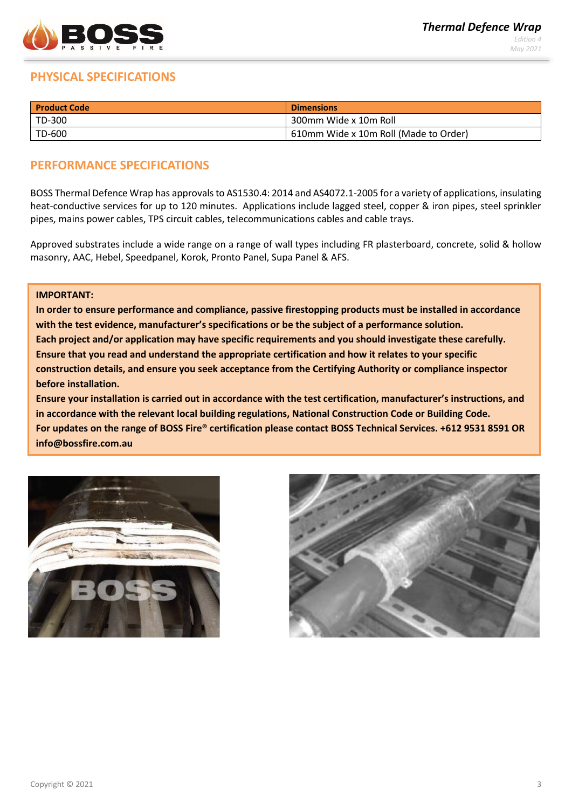

# **PHYSICAL SPECIFICATIONS**

| <b>Product Code</b> | <b>Dimensions</b>                     |
|---------------------|---------------------------------------|
| $TD-300$            | 300mm Wide x 10m Roll                 |
| TD-600              | 610mm Wide x 10m Roll (Made to Order) |

### **PERFORMANCE SPECIFICATIONS**

BOSS Thermal Defence Wrap has approvals to AS1530.4: 2014 and AS4072.1-2005 for a variety of applications, insulating heat-conductive services for up to 120 minutes. Applications include lagged steel, copper & iron pipes, steel sprinkler pipes, mains power cables, TPS circuit cables, telecommunications cables and cable trays.

Approved substrates include a wide range on a range of wall types including FR plasterboard, concrete, solid & hollow masonry, AAC, Hebel, Speedpanel, Korok, Pronto Panel, Supa Panel & AFS.

#### **IMPORTANT:**

**In order to ensure performance and compliance, passive firestopping products must be installed in accordance with the test evidence, manufacturer's specifications or be the subject of a performance solution. Each project and/or application may have specific requirements and you should investigate these carefully. Ensure that you read and understand the appropriate certification and how it relates to your specific construction details, and ensure you seek acceptance from the Certifying Authority or compliance inspector before installation.** 

**Ensure your installation is carried out in accordance with the test certification, manufacturer's instructions, and in accordance with the relevant local building regulations, National Construction Code or Building Code. For updates on the range of BOSS Fire® certification please contact BOSS Technical Services. +612 9531 8591 OR [info@bossfire.com.au](mailto:info@bossfire.com.au)**



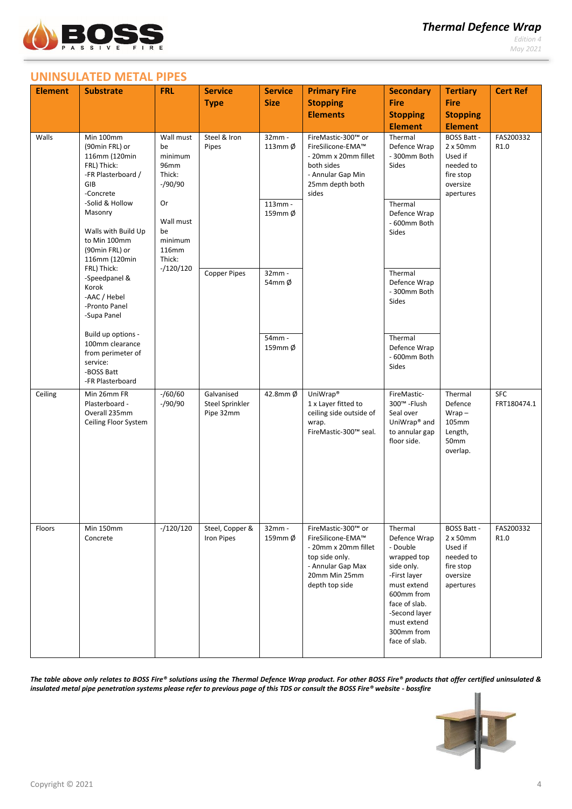

*Edition 4 May 2021*

# **UNINSULATED METAL PIPES**

| <b>Element</b>                                                                                                                                                                                                                                                                                                                                                                                                              | <b>Substrate</b>                                                          | <b>FRL</b>                                   | <b>Service</b>                             | <b>Service</b>                                                                                                                                        | <b>Primary Fire</b>                                                                                                                       | <b>Secondary</b>                                                                                                                                                                              | <b>Tertiary</b>                                                                            | <b>Cert Ref</b>           |
|-----------------------------------------------------------------------------------------------------------------------------------------------------------------------------------------------------------------------------------------------------------------------------------------------------------------------------------------------------------------------------------------------------------------------------|---------------------------------------------------------------------------|----------------------------------------------|--------------------------------------------|-------------------------------------------------------------------------------------------------------------------------------------------------------|-------------------------------------------------------------------------------------------------------------------------------------------|-----------------------------------------------------------------------------------------------------------------------------------------------------------------------------------------------|--------------------------------------------------------------------------------------------|---------------------------|
|                                                                                                                                                                                                                                                                                                                                                                                                                             |                                                                           |                                              | <b>Type</b>                                | <b>Size</b>                                                                                                                                           | <b>Stopping</b>                                                                                                                           | <b>Fire</b>                                                                                                                                                                                   | <b>Fire</b>                                                                                |                           |
|                                                                                                                                                                                                                                                                                                                                                                                                                             |                                                                           |                                              |                                            |                                                                                                                                                       | <b>Elements</b>                                                                                                                           | <b>Stopping</b>                                                                                                                                                                               | <b>Stopping</b>                                                                            |                           |
|                                                                                                                                                                                                                                                                                                                                                                                                                             |                                                                           |                                              |                                            |                                                                                                                                                       |                                                                                                                                           | <b>Element</b>                                                                                                                                                                                | <b>Element</b>                                                                             |                           |
| Walls<br>Min 100mm<br>(90min FRL) or<br>116mm (120min<br>FRL) Thick:<br>-FR Plasterboard /<br>GIB<br>-Concrete<br>-Solid & Hollow<br>Masonry<br>Walls with Build Up<br>to Min 100mm<br>(90min FRL) or<br>116mm (120min<br>FRL) Thick:<br>-Speedpanel &<br>Korok<br>-AAC / Hebel<br>-Pronto Panel<br>-Supa Panel<br>Build up options -<br>100mm clearance<br>from perimeter of<br>service:<br>-BOSS Batt<br>-FR Plasterboard | Wall must<br>be<br>minimum<br>96mm<br>Thick:<br>$-$ /90/90                | Steel & Iron<br>Pipes<br><b>Copper Pipes</b> | 32mm -<br>113mm Ø                          | FireMastic-300™ or<br>FireSilicone-EMA™<br>- 20mm x 20mm fillet<br>both sides<br>- Annular Gap Min<br>25mm depth both<br>sides<br>113mm -<br>$32mm -$ | Thermal<br>Defence Wrap<br>- 300mm Both<br>Sides                                                                                          | <b>BOSS Batt -</b><br>2 x 50mm<br>Used if<br>needed to<br>fire stop<br>oversize<br>apertures                                                                                                  | FAS200332<br>R1.0                                                                          |                           |
|                                                                                                                                                                                                                                                                                                                                                                                                                             | Or<br>Wall must<br>be<br>minimum<br><b>116mm</b><br>Thick:<br>$-/120/120$ |                                              | 159mm Ø                                    |                                                                                                                                                       | Thermal<br>Defence Wrap<br>- 600mm Both<br>Sides<br>Thermal                                                                               |                                                                                                                                                                                               |                                                                                            |                           |
|                                                                                                                                                                                                                                                                                                                                                                                                                             |                                                                           |                                              | 54 $mm$ Ø                                  |                                                                                                                                                       | Defence Wrap<br>- 300mm Both<br>Sides                                                                                                     |                                                                                                                                                                                               |                                                                                            |                           |
|                                                                                                                                                                                                                                                                                                                                                                                                                             |                                                                           |                                              |                                            | 54mm -<br>159mm Ø                                                                                                                                     |                                                                                                                                           | Thermal<br>Defence Wrap<br>- 600mm Both<br>Sides                                                                                                                                              |                                                                                            |                           |
| Ceiling                                                                                                                                                                                                                                                                                                                                                                                                                     | Min 26mm FR<br>Plasterboard -<br>Overall 235mm<br>Ceiling Floor System    | $- / 60 / 60$<br>$-$ /90/90                  | Galvanised<br>Steel Sprinkler<br>Pipe 32mm | $42.8$ mm $\phi$                                                                                                                                      | UniWrap <sup>®</sup><br>1 x Layer fitted to<br>ceiling side outside of<br>wrap.<br>FireMastic-300™ seal.                                  | FireMastic-<br>300™ - Flush<br>Seal over<br>UniWrap <sup>®</sup> and<br>to annular gap<br>floor side.                                                                                         | Thermal<br>Defence<br>$Wrap -$<br>105mm<br>Length,<br>50mm<br>overlap.                     | <b>SFC</b><br>FRT180474.1 |
| Floors                                                                                                                                                                                                                                                                                                                                                                                                                      | Min 150mm<br>Concrete                                                     | $-/120/120$                                  | Steel, Copper &<br><b>Iron Pipes</b>       | $32mm -$<br>159mm Ø                                                                                                                                   | FireMastic-300™ or<br>FireSilicone-EMA™<br>- 20mm x 20mm fillet<br>top side only.<br>- Annular Gap Max<br>20mm Min 25mm<br>depth top side | Thermal<br>Defence Wrap<br>- Double<br>wrapped top<br>side only.<br>-First layer<br>must extend<br>600mm from<br>face of slab.<br>-Second layer<br>must extend<br>300mm from<br>face of slab. | <b>BOSS Batt -</b><br>2x50mm<br>Used if<br>needed to<br>fire stop<br>oversize<br>apertures | FAS200332<br>R1.0         |

*The table above only relates to BOSS Fire® solutions using the Thermal Defence Wrap product. For other BOSS Fire® products that offer certified uninsulated & insulated metal pipe penetration systems please refer to previous page of this TDS or consult the BOSS Fire® website - bossfire* 

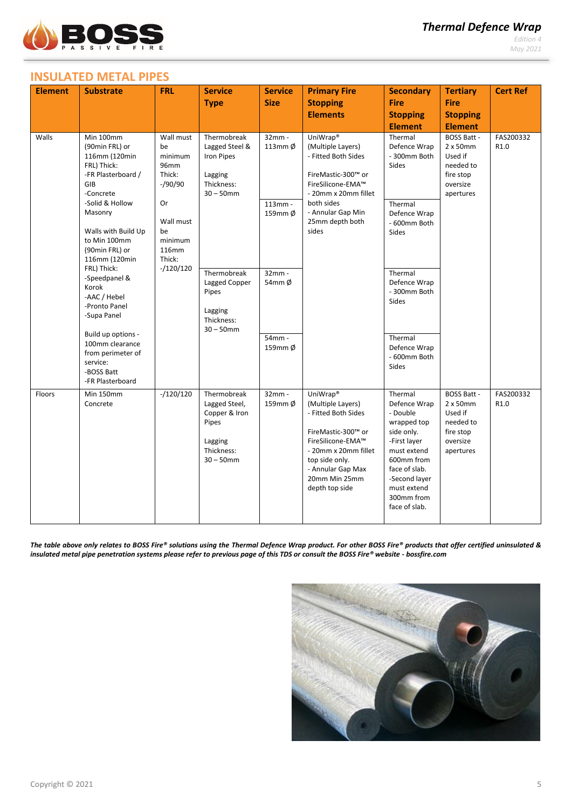

*Edition 4 May 2021*

# **INSULATED METAL PIPES**

| <b>Element</b> | <b>Substrate</b>                                                                                                                                                                                                                                                                                                             | <b>FRL</b>                                                                                                                                     | <b>Service</b>                                                                                  | <b>Service</b>                               | <b>Primary Fire</b>                                                                                                                                                                                           | <b>Secondary</b>                                                                                                                                                                                                    | <b>Tertiary</b>                                                                              | <b>Cert Ref</b>   |
|----------------|------------------------------------------------------------------------------------------------------------------------------------------------------------------------------------------------------------------------------------------------------------------------------------------------------------------------------|------------------------------------------------------------------------------------------------------------------------------------------------|-------------------------------------------------------------------------------------------------|----------------------------------------------|---------------------------------------------------------------------------------------------------------------------------------------------------------------------------------------------------------------|---------------------------------------------------------------------------------------------------------------------------------------------------------------------------------------------------------------------|----------------------------------------------------------------------------------------------|-------------------|
|                |                                                                                                                                                                                                                                                                                                                              |                                                                                                                                                | <b>Type</b>                                                                                     | <b>Size</b>                                  | <b>Stopping</b>                                                                                                                                                                                               | <b>Fire</b>                                                                                                                                                                                                         | <b>Fire</b>                                                                                  |                   |
|                |                                                                                                                                                                                                                                                                                                                              |                                                                                                                                                |                                                                                                 |                                              | <b>Elements</b>                                                                                                                                                                                               | <b>Stopping</b>                                                                                                                                                                                                     | <b>Stopping</b>                                                                              |                   |
|                |                                                                                                                                                                                                                                                                                                                              |                                                                                                                                                |                                                                                                 |                                              |                                                                                                                                                                                                               | <b>Element</b>                                                                                                                                                                                                      | <b>Element</b>                                                                               |                   |
| Walls          | Min 100mm<br>(90min FRL) or<br>116mm (120min<br>FRL) Thick:<br>-FR Plasterboard /<br>GIB<br>-Concrete<br>-Solid & Hollow<br>Masonry<br>Walls with Build Up<br>to Min 100mm<br>(90min FRL) or<br>116mm (120min<br>FRL) Thick:<br>-Speedpanel &<br>Korok<br>-AAC / Hebel<br>-Pronto Panel<br>-Supa Panel<br>Build up options - | Wall must<br>be<br>minimum<br><b>96mm</b><br>Thick:<br>$-$ /90/90<br>Or<br>Wall must<br>be<br>minimum<br><b>116mm</b><br>Thick:<br>$-/120/120$ | Thermobreak<br>Lagged Steel &<br>Iron Pipes<br>Lagging<br>Thickness:<br>$30 - 50$ mm            | 32mm -<br>113mm $\phi$<br>113mm -<br>159mm Ø | UniWrap <sup>®</sup><br>(Multiple Layers)<br>- Fitted Both Sides<br>FireMastic-300™ or<br>FireSilicone-EMA™<br>- 20mm x 20mm fillet<br>both sides<br>- Annular Gap Min<br>25mm depth both<br>sides            | Thermal<br><b>BOSS Batt -</b><br>Defence Wrap<br>$2 \times 50$ mm<br>- 300mm Both<br>Used if<br><b>Sides</b><br>needed to<br>fire stop<br>oversize<br>apertures<br>Thermal<br>Defence Wrap<br>- 600mm Both<br>Sides | FAS200332<br>R1.0                                                                            |                   |
|                |                                                                                                                                                                                                                                                                                                                              |                                                                                                                                                | Thermobreak<br>Lagged Copper<br>Pipes<br>Lagging<br>Thickness:<br>$30 - 50$ mm                  | $32mm -$<br>54mm Ø<br>54mm -                 |                                                                                                                                                                                                               | Thermal<br>Defence Wrap<br>- 300mm Both<br>Sides<br>Thermal                                                                                                                                                         |                                                                                              |                   |
|                | 100mm clearance<br>from perimeter of<br>service:<br>-BOSS Batt<br>-FR Plasterboard                                                                                                                                                                                                                                           |                                                                                                                                                |                                                                                                 | 159mm Ø                                      |                                                                                                                                                                                                               | Defence Wrap<br>- 600mm Both<br><b>Sides</b>                                                                                                                                                                        |                                                                                              |                   |
| Floors         | Min 150mm<br>Concrete                                                                                                                                                                                                                                                                                                        | $-/120/120$                                                                                                                                    | Thermobreak<br>Lagged Steel,<br>Copper & Iron<br>Pipes<br>Lagging<br>Thickness:<br>$30 - 50$ mm | 32mm -<br>159mm $\phi$                       | UniWrap <sup>®</sup><br>(Multiple Layers)<br>- Fitted Both Sides<br>FireMastic-300™ or<br>FireSilicone-EMA™<br>- 20mm x 20mm fillet<br>top side only.<br>- Annular Gap Max<br>20mm Min 25mm<br>depth top side | Thermal<br>Defence Wrap<br>- Double<br>wrapped top<br>side only.<br>-First layer<br>must extend<br>600mm from<br>face of slab.<br>-Second layer<br>must extend<br>300mm from<br>face of slab.                       | <b>BOSS Batt -</b><br>2 x 50mm<br>Used if<br>needed to<br>fire stop<br>oversize<br>apertures | FAS200332<br>R1.0 |

*The table above only relates to BOSS Fire® solutions using the Thermal Defence Wrap product. For other BOSS Fire® products that offer certified uninsulated & insulated metal pipe penetration systems please refer to previous page of this TDS or consult the BOSS Fire® website - bossfire.com*

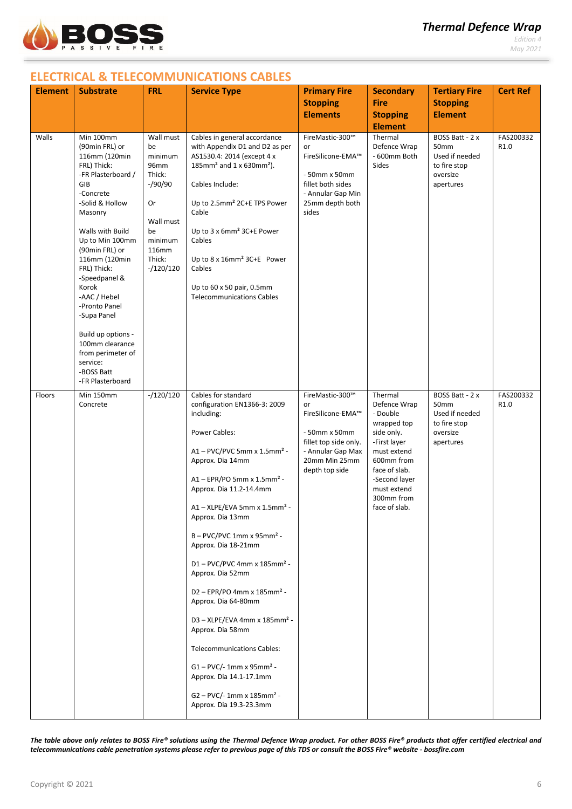

# **ELECTRICAL & TELECOMMUNICATIONS CABLES**

| <b>Element</b> | <b>Substrate</b>                                                                                                                                                                                                                                                                                                                                                                                                   | <b>FRL</b>                                                                                                                      | <b>Service Type</b>                                                                                                                                                                                                                                                                                                                                                                                                                                                                                                                                                                                                                                                                                      | <b>Primary Fire</b><br><b>Stopping</b><br><b>Elements</b>                                                                                    | <b>Secondary</b><br><b>Fire</b><br><b>Stopping</b><br><b>Element</b>                                                                                                                          | <b>Tertiary Fire</b><br><b>Stopping</b><br><b>Element</b>                          | <b>Cert Ref</b>   |
|----------------|--------------------------------------------------------------------------------------------------------------------------------------------------------------------------------------------------------------------------------------------------------------------------------------------------------------------------------------------------------------------------------------------------------------------|---------------------------------------------------------------------------------------------------------------------------------|----------------------------------------------------------------------------------------------------------------------------------------------------------------------------------------------------------------------------------------------------------------------------------------------------------------------------------------------------------------------------------------------------------------------------------------------------------------------------------------------------------------------------------------------------------------------------------------------------------------------------------------------------------------------------------------------------------|----------------------------------------------------------------------------------------------------------------------------------------------|-----------------------------------------------------------------------------------------------------------------------------------------------------------------------------------------------|------------------------------------------------------------------------------------|-------------------|
| Walls          | Min 100mm<br>(90min FRL) or<br>116mm (120min<br>FRL) Thick:<br>-FR Plasterboard /<br>GIB<br>-Concrete<br>-Solid & Hollow<br>Masonry<br>Walls with Build<br>Up to Min 100mm<br>(90min FRL) or<br>116mm (120min<br>FRL) Thick:<br>-Speedpanel &<br>Korok<br>-AAC / Hebel<br>-Pronto Panel<br>-Supa Panel<br>Build up options -<br>100mm clearance<br>from perimeter of<br>service:<br>-BOSS Batt<br>-FR Plasterboard | Wall must<br>be<br>minimum<br>96mm<br>Thick:<br>$-$ /90/90<br>Or<br>Wall must<br>be<br>minimum<br>116mm<br>Thick:<br>$-120/120$ | Cables in general accordance<br>with Appendix D1 and D2 as per<br>AS1530.4: 2014 (except 4 x<br>185mm <sup>2</sup> and 1 x 630mm <sup>2</sup> ).<br>Cables Include:<br>Up to 2.5mm <sup>2</sup> 2C+E TPS Power<br>Cable<br>Up to 3 x 6mm <sup>2</sup> 3C+E Power<br>Cables<br>Up to 8 x 16mm <sup>2</sup> 3C+E Power<br>Cables<br>Up to 60 x 50 pair, 0.5mm<br><b>Telecommunications Cables</b>                                                                                                                                                                                                                                                                                                          | FireMastic-300™<br>or<br>FireSilicone-EMA™<br>- 50mm x 50mm<br>fillet both sides<br>- Annular Gap Min<br>25mm depth both<br>sides            | Thermal<br>Defence Wrap<br>- 600mm Both<br>Sides                                                                                                                                              | BOSS Batt - 2 x<br>50mm<br>Used if needed<br>to fire stop<br>oversize<br>apertures | FAS200332<br>R1.0 |
| Floors         | Min 150mm<br>Concrete                                                                                                                                                                                                                                                                                                                                                                                              | $-/120/120$                                                                                                                     | Cables for standard<br>configuration EN1366-3: 2009<br>including:<br>Power Cables:<br>$A1 - PVC/PVC 5mm \times 1.5mm^2 -$<br>Approx. Dia 14mm<br>A1 - EPR/PO 5mm x 1.5mm <sup>2</sup> -<br>Approx. Dia 11.2-14.4mm<br>$A1 - XLPE/EVA 5mm \times 1.5mm^2 -$<br>Approx. Dia 13mm<br>$B - PVC/PVC 1mm x 95mm2 -$<br>Approx. Dia 18-21mm<br>D1-PVC/PVC 4mm x 185mm <sup>2</sup> -<br>Approx. Dia 52mm<br>D2 - EPR/PO 4mm x 185mm <sup>2</sup> -<br>Approx. Dia 64-80mm<br>D3 - XLPE/EVA 4mm x 185mm <sup>2</sup> -<br>Approx. Dia 58mm<br><b>Telecommunications Cables:</b><br>$G1 - PVC/ - 1mm \times 95mm^2 -$<br>Approx. Dia 14.1-17.1mm<br>$G2 - PVC/ - 1mm \times 185mm^2 -$<br>Approx. Dia 19.3-23.3mm | FireMastic-300™<br>or<br>FireSilicone-EMA™<br>- 50mm x 50mm<br>fillet top side only.<br>- Annular Gap Max<br>20mm Min 25mm<br>depth top side | Thermal<br>Defence Wrap<br>- Double<br>wrapped top<br>side only.<br>-First layer<br>must extend<br>600mm from<br>face of slab.<br>-Second layer<br>must extend<br>300mm from<br>face of slab. | BOSS Batt - 2 x<br>50mm<br>Used if needed<br>to fire stop<br>oversize<br>apertures | FAS200332<br>R1.0 |

*The table above only relates to BOSS Fire® solutions using the Thermal Defence Wrap product. For other BOSS Fire® products that offer certified electrical and telecommunications cable penetration systems please refer to previous page of this TDS or consult the BOSS Fire® website - bossfire.com*